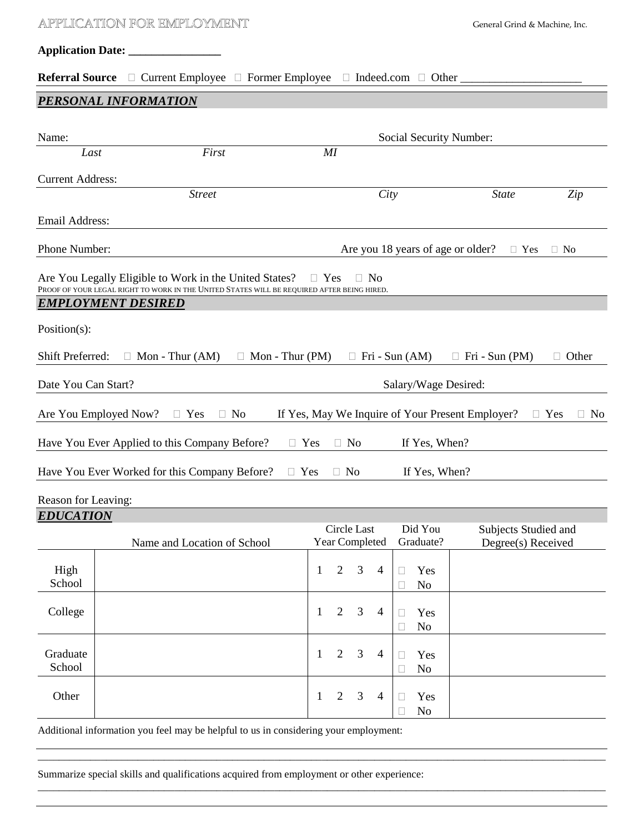| APPLICATION FOR EMPLOYMENT |  |                                                                                            |                 |              |                               | General Grind & Machine, Inc. |                                   |                                                  |                    |                       |
|----------------------------|--|--------------------------------------------------------------------------------------------|-----------------|--------------|-------------------------------|-------------------------------|-----------------------------------|--------------------------------------------------|--------------------|-----------------------|
|                            |  |                                                                                            |                 |              |                               |                               |                                   |                                                  |                    |                       |
| <b>Referral Source</b>     |  | <b>Current Employee</b>                                                                    | Former Employee |              |                               | Indeed.com                    | Other $_{-}$                      |                                                  |                    |                       |
|                            |  | <b>PERSONAL INFORMATION</b>                                                                |                 |              |                               |                               |                                   |                                                  |                    |                       |
| Name:                      |  |                                                                                            |                 |              |                               |                               | Social Security Number:           |                                                  |                    |                       |
| Last                       |  | First                                                                                      |                 | MI           |                               |                               |                                   |                                                  |                    |                       |
| <b>Current Address:</b>    |  |                                                                                            |                 |              |                               |                               |                                   |                                                  |                    |                       |
|                            |  | <b>Street</b>                                                                              |                 |              |                               | City                          |                                   | <b>State</b>                                     |                    | Zip                   |
| <b>Email Address:</b>      |  |                                                                                            |                 |              |                               |                               |                                   |                                                  |                    |                       |
| Phone Number:              |  |                                                                                            |                 |              |                               |                               | Are you 18 years of age or older? |                                                  | Yes                | N <sub>o</sub>        |
|                            |  | Are You Legally Eligible to Work in the United States?                                     |                 | Yes          |                               | No                            |                                   |                                                  |                    |                       |
| <b>EMPLOYMENT DESIRED</b>  |  | PROOF OF YOUR LEGAL RIGHT TO WORK IN THE UNITED STATES WILL BE REQUIRED AFTER BEING HIRED. |                 |              |                               |                               |                                   |                                                  |                    |                       |
| $Position(s)$ :            |  |                                                                                            |                 |              |                               |                               |                                   |                                                  |                    |                       |
| Shift Preferred:           |  | Mon - Thur $(AM)$                                                                          | Mon - Thur (PM) |              |                               |                               | Fri - Sun (AM)                    | Fri - Sun (PM)                                   |                    | Other                 |
|                            |  |                                                                                            |                 |              |                               |                               |                                   |                                                  |                    |                       |
| Date You Can Start?        |  |                                                                                            |                 |              |                               |                               | Salary/Wage Desired:              |                                                  |                    |                       |
| Are You Employed Now?      |  | Yes                                                                                        | N <sub>o</sub>  |              |                               |                               |                                   | If Yes, May We Inquire of Your Present Employer? |                    | Yes<br>N <sub>o</sub> |
|                            |  | Have You Ever Applied to this Company Before?                                              |                 | Yes          | N <sub>o</sub>                |                               | If Yes, When?                     |                                                  |                    |                       |
|                            |  | Have You Ever Worked for this Company Before?                                              |                 | Yes          | No                            |                               | If Yes, When?                     |                                                  |                    |                       |
| Reason for Leaving:        |  |                                                                                            |                 |              |                               |                               |                                   |                                                  |                    |                       |
| <b>EDUCATION</b>           |  |                                                                                            |                 |              |                               |                               |                                   |                                                  |                    |                       |
|                            |  | Name and Location of School                                                                |                 |              | Circle Last<br>Year Completed |                               | Did You<br>Graduate?              | Subjects Studied and                             | Degree(s) Received |                       |
| High<br>School             |  |                                                                                            |                 | $\mathbf{1}$ | 3<br>$\overline{2}$           | $\overline{4}$                | Yes<br>N <sub>o</sub>             |                                                  |                    |                       |
| College                    |  |                                                                                            |                 | 1            | $\overline{2}$<br>3           | $\overline{4}$                | Yes<br>N <sub>0</sub>             |                                                  |                    |                       |
| Graduate<br>School         |  |                                                                                            |                 | 1            | $\overline{2}$<br>3           | $\overline{4}$                | Yes<br>N <sub>0</sub>             |                                                  |                    |                       |
| Other                      |  |                                                                                            |                 | 1            | $\overline{2}$<br>3           | $\overline{4}$                | Yes<br>N <sub>o</sub>             |                                                  |                    |                       |

\_\_\_\_\_\_\_\_\_\_\_\_\_\_\_\_\_\_\_\_\_\_\_\_\_\_\_\_\_\_\_\_\_\_\_\_\_\_\_\_\_\_\_\_\_\_\_\_\_\_\_\_\_\_\_\_\_\_\_\_\_\_\_\_\_\_\_\_\_\_\_\_\_\_\_\_\_\_\_\_\_\_\_\_\_\_\_\_\_\_\_\_\_\_\_\_\_\_\_\_\_\_\_\_\_\_\_\_

\_\_\_\_\_\_\_\_\_\_\_\_\_\_\_\_\_\_\_\_\_\_\_\_\_\_\_\_\_\_\_\_\_\_\_\_\_\_\_\_\_\_\_\_\_\_\_\_\_\_\_\_\_\_\_\_\_\_\_\_\_\_\_\_\_\_\_\_\_\_\_\_\_\_\_\_\_\_\_\_\_\_\_\_\_\_\_\_\_\_\_\_\_\_\_\_\_\_\_\_\_\_\_\_\_\_\_\_

Additional information you feel may be helpful to us in considering your employment:

Summarize special skills and qualifications acquired from employment or other experience: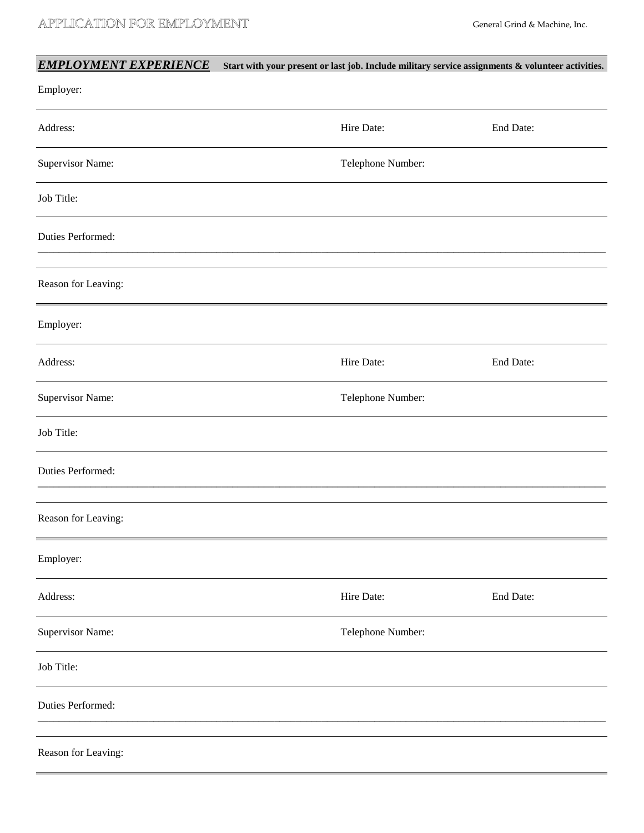| <b>EMPLOYMENT EXPERIENCE</b> | Start with your present or last job. Include military service assignments $\&$ volunteer activities. |           |
|------------------------------|------------------------------------------------------------------------------------------------------|-----------|
| Employer:                    |                                                                                                      |           |
| Address:                     | Hire Date:                                                                                           | End Date: |
| Supervisor Name:             | Telephone Number:                                                                                    |           |
| Job Title:                   |                                                                                                      |           |
| Duties Performed:            |                                                                                                      |           |
| Reason for Leaving:          |                                                                                                      |           |
| Employer:                    |                                                                                                      |           |
| Address:                     | Hire Date:                                                                                           | End Date: |
| <b>Supervisor Name:</b>      | Telephone Number:                                                                                    |           |
| Job Title:                   |                                                                                                      |           |
| Duties Performed:            |                                                                                                      |           |
| Reason for Leaving:          |                                                                                                      |           |
| Employer:                    |                                                                                                      |           |
| Address:                     | Hire Date:                                                                                           | End Date: |
| Supervisor Name:             | Telephone Number:                                                                                    |           |
| Job Title:                   |                                                                                                      |           |
| Duties Performed:            |                                                                                                      |           |
| Reason for Leaving:          |                                                                                                      |           |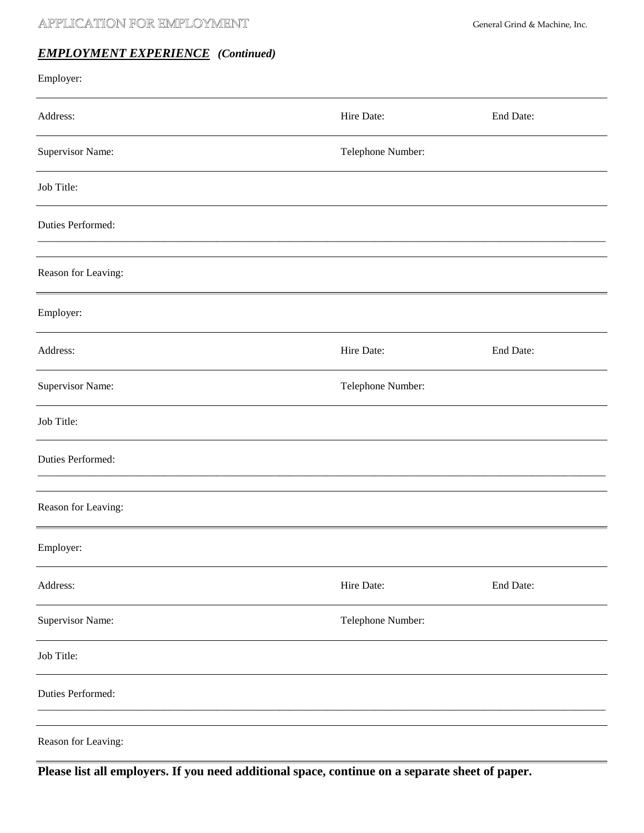## APPLICATION FOR EMPLOYMENT General Grind & Machine, Inc.

## *EMPLOYMENT EXPERIENCE (Continued)*

| Employer:           |                   |           |  |  |
|---------------------|-------------------|-----------|--|--|
| Address:            | Hire Date:        | End Date: |  |  |
| Supervisor Name:    | Telephone Number: |           |  |  |
| Job Title:          |                   |           |  |  |
| Duties Performed:   |                   |           |  |  |
| Reason for Leaving: |                   |           |  |  |
| Employer:           |                   |           |  |  |
| Address:            | Hire Date:        | End Date: |  |  |
| Supervisor Name:    | Telephone Number: |           |  |  |
| Job Title:          |                   |           |  |  |
| Duties Performed:   |                   |           |  |  |
| Reason for Leaving: |                   |           |  |  |
| Employer:           |                   |           |  |  |
| Address:            | Hire Date:        | End Date: |  |  |
| Supervisor Name:    | Telephone Number: |           |  |  |
| Job Title:          |                   |           |  |  |
| Duties Performed:   |                   |           |  |  |
| Reason for Leaving: |                   |           |  |  |

**Please list all employers. If you need additional space, continue on a separate sheet of paper.**